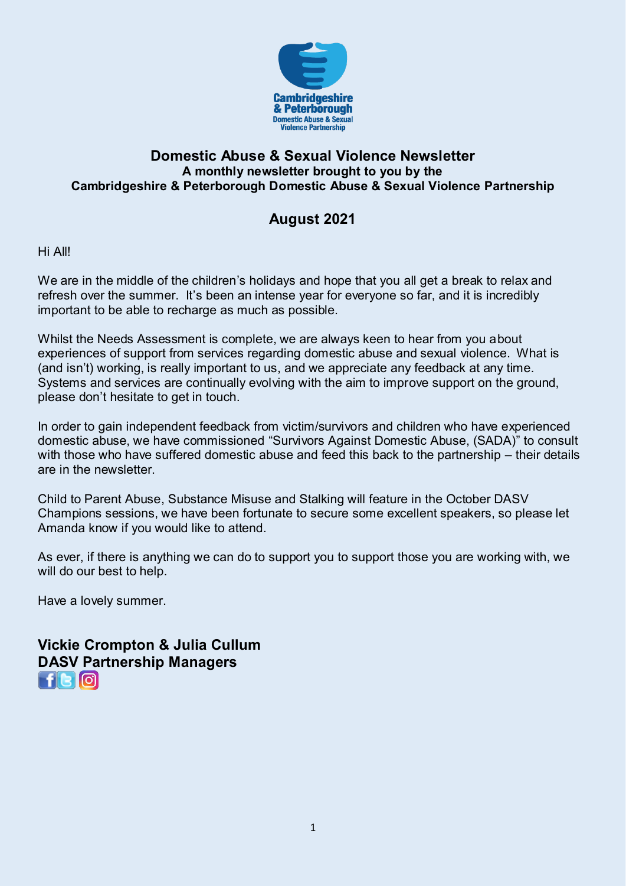

#### **Domestic Abuse & Sexual Violence Newsletter A monthly newsletter brought to you by the Cambridgeshire & Peterborough Domestic Abuse & Sexual Violence Partnership**

### **August 2021**

Hi All!

We are in the middle of the children's holidays and hope that you all get a break to relax and refresh over the summer. It's been an intense year for everyone so far, and it is incredibly important to be able to recharge as much as possible.

Whilst the Needs Assessment is complete, we are always keen to hear from you about experiences of support from services regarding domestic abuse and sexual violence. What is (and isn't) working, is really important to us, and we appreciate any feedback at any time. Systems and services are continually evolving with the aim to improve support on the ground, please don't hesitate to get in touch.

In order to gain independent feedback from victim/survivors and children who have experienced domestic abuse, we have commissioned "Survivors Against Domestic Abuse, (SADA)" to consult with those who have suffered domestic abuse and feed this back to the partnership – their details are in the newsletter.

Child to Parent Abuse, Substance Misuse and Stalking will feature in the October DASV Champions sessions, we have been fortunate to secure some excellent speakers, so please let Amanda know if you would like to attend.

As ever, if there is anything we can do to support you to support those you are working with, we will do our best to help.

Have a lovely summer.

**Vickie Crompton & Julia Cullum [DA](https://www.facebook.com/CambridgeshireDASV/)SV [Pa](https://www.instagram.com/cambsdasv/)rtnership Managers**   $H$ R $|G|$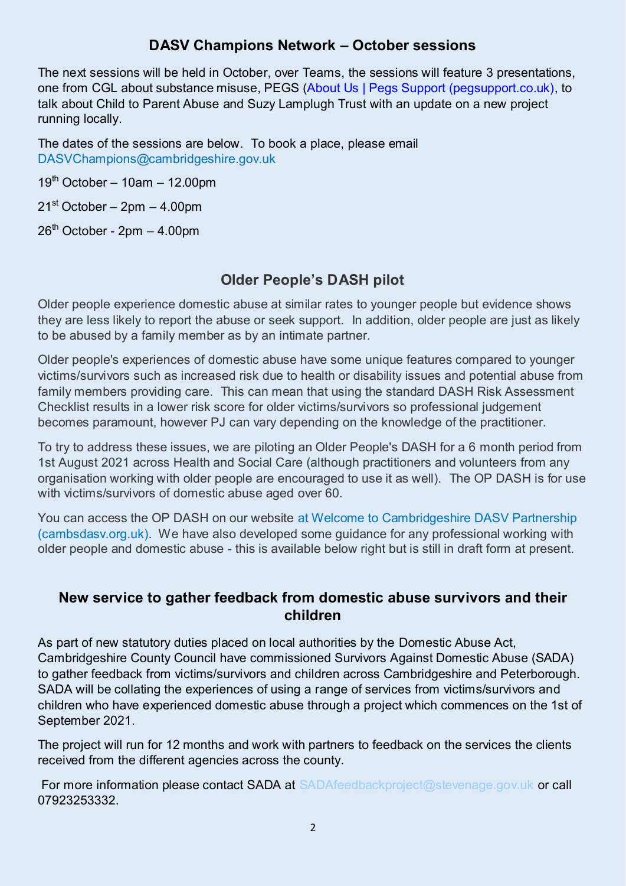#### **DASV Champions Network – October sessions**

The next sessions will be held in October, over Teams, the sessions will feature 3 presentations, one from CGL about substance misuse, PEGS [\(About Us | Pegs Support \(pegsupport.co.uk\),](https://www.pegsupport.co.uk/about) to talk about Child to Parent Abuse and Suzy Lamplugh Trust with an update on a new project running locally.

The dates of the sessions are below. To book a place, please email [DASVChampions@cambridgeshire.gov.uk](mailto:DASVChampions@cambridgeshire.gov.uk) 

 $19<sup>th</sup>$  October – 10am – 12.00pm

 $21<sup>st</sup> October – 2pm – 4.00pm$ 

 $26<sup>th</sup>$  October - 2pm  $-$  4.00pm

### **Older People's DASH pilot**

Older people experience domestic abuse at similar rates to younger people but evidence shows they are less likely to report the abuse or seek support. In addition, older people are just as likely to be abused by a family member as by an intimate partner.

Older people's experiences of domestic abuse have some unique features compared to younger victims/survivors such as increased risk due to health or disability issues and potential abuse from family members providing care. This can mean that using the standard DASH Risk Assessment Checklist results in a lower risk score for older victims/survivors so professional judgement becomes paramount, however PJ can vary depending on the knowledge of the practitioner.

To try to address these issues, we are piloting an Older People's DASH for a 6 month period from 1st August 2021 across Health and Social Care (although practitioners and volunteers from any organisation working with older people are encouraged to use it as well). The OP DASH is for use with victims/survivors of domestic abuse aged over 60.

You can access the OP DASH on our website at [Welcome to Cambridgeshire DASV Partnership](https://www.cambsdasv.org.uk/website/older_people/567583)  [\(cambsdasv.org.uk\).](https://www.cambsdasv.org.uk/website/older_people/567583) We have also developed some guidance for any professional working with older people and domestic abuse - this is available below right but is still in draft form at present.

#### **New service to gather feedback from domestic abuse survivors and their children**

As part of new statutory duties placed on local authorities by the Domestic Abuse Act, Cambridgeshire County Council have commissioned Survivors Against Domestic Abuse (SADA) to gather feedback from victims/survivors and children across Cambridgeshire and Peterborough. SADA will be collating the experiences of using a range of services from victims/survivors and children who have experienced domestic abuse through a project which commences on the 1st of September 2021.

The project will run for 12 months and work with partners to feedback on the services the clients received from the different agencies across the county.

For more information please contact SADA at [SADAfeedbackproject@stevenage.gov.uk](mailto:SADAfeedbackproject@stevenage.gov.uk) or call 07923253332.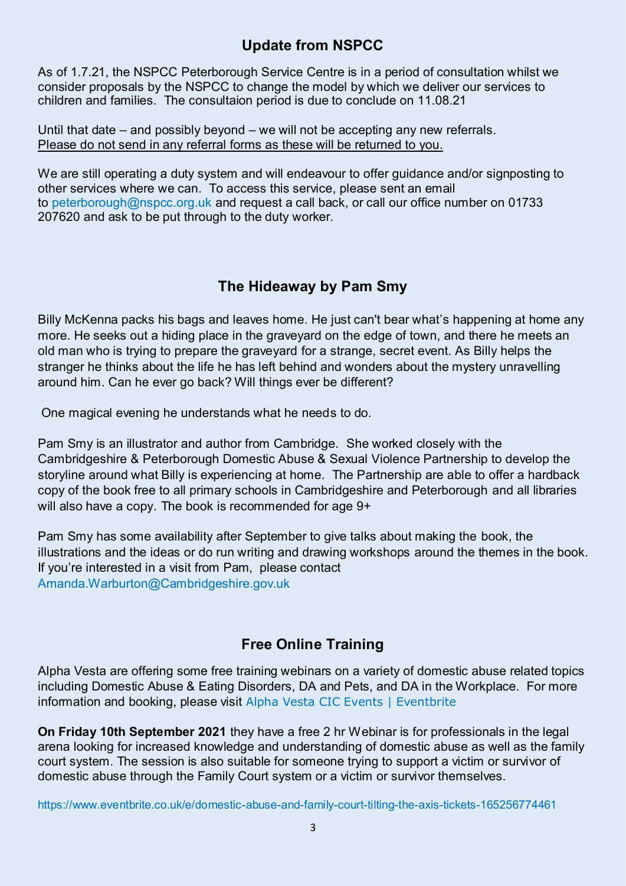# **Update from NSPCC**

As of 1.7.21, the NSPCC Peterborough Service Centre is in a period of consultation whilst we consider proposals by the NSPCC to change the model by which we deliver our services to children and families. The consultaion period is due to conclude on 11.08.21

Until that date – and possibly beyond – we will not be accepting any new referrals. Please do not send in any referral forms as these will be returned to you.

We are still operating a duty system and will endeavour to offer guidance and/or signposting to other services where we can. To access this service, please sent an email to [peterborough@nspcc.org.uk](mailto:peterborough@nspcc.org.uk) and request a call back, or call our office number on 01733 207620 and ask to be put through to the duty worker.

### **The Hideaway by Pam Smy**

Billy McKenna packs his bags and leaves home. He just can't bear what's happening at home any more. He seeks out a hiding place in the graveyard on the edge of town, and there he meets an old man who is trying to prepare the graveyard for a strange, secret event. As Billy helps the stranger he thinks about the life he has left behind and wonders about the mystery unravelling around him. Can he ever go back? Will things ever be different?

One magical evening he understands what he needs to do.

Pam Smy is an illustrator and author from Cambridge. She worked closely with the Cambridgeshire & Peterborough Domestic Abuse & Sexual Violence Partnership to develop the storyline around what Billy is experiencing at home. The Partnership are able to offer a hardback copy of the book free to all primary schools in Cambridgeshire and Peterborough and all libraries will also have a copy. The book is recommended for age 9+

Pam Smy has some availability after September to give talks about making the book, the illustrations and the ideas or do run writing and drawing workshops around the themes in the book. If you're interested in a visit from Pam, please contact [Amanda.Warburton@Cambridgeshire.gov.uk](mailto:Amanda.Warburton@Cambridgeshire.gov.uk) 

# **Free Online Training**

Alpha Vesta are offering some free training webinars on a variety of domestic abuse related topics including Domestic Abuse & Eating Disorders, DA and Pets, and DA in the Workplace. For more information and booking, please visit [Alpha Vesta CIC Events | Eventbrite](https://www.eventbrite.co.uk/o/alpha-vesta-cic-30277303852)

**On Friday 10th September 2021** they have a free 2 hr Webinar is for professionals in the legal arena looking for increased knowledge and understanding of domestic abuse as well as the family court system. The session is also suitable for someone trying to support a victim or survivor of domestic abuse through the Family Court system or a victim or survivor themselves.

[https://www.eventbrite.co.uk/e/domestic-abuse-and-family-court-tilting-the-axis-tickets-165256774461](https://hes32-ctp.trendmicro.com/wis/clicktime/v1/query?url=https%3a%2f%2fhs%2d14496108.t.hubspotfree%2dhf.net%2fe2t%2ftc%2fVXb3208bH%2d9fW6KbZ%2dc4WQSJlW65wf3Z4vPl2yN3kz7Ck5kbT5V3Zsc37CgZ5pVw6sgM6cTVydW1pfYTD4TrMpFVGTyhz56bKy3W3zt6bZ5Dp7qJW47nDd72p5mxmN6QpJ88VbxWrVV8YNZ1VzLFRW3Bcc%5fm7q9qjsW4FxNq76w2rKZN8t641bslrH8W6k%5fbCK4BzG%2dMW5CZx7W4bzbqsW24v1649kXwpZW63LhMc23RNrsW5NZ3S88vxVKlW8BgbWx3qBkdLW5ngB%5f44rDd3%2dW1r1RZH9315%5fDVkJZX933%2dFXRW8%2dwyB46%5f5G4cV%2dtYhD6n0QF0W1jwyQZ7mh6hlW1SMFst8p6p5VW5%2d%2dLq12cr7PkW8JmppB1dzv36W43wJ%2d%5f8NDyvvW36L3td8ygp58W2F1bwJ1LKvSPW1nr2L21w%5fMPPN5%5fgmM0zv8DJW69rZK58bmnmXW8bWSrT4xY6bY3kch1&umid=141acb5b-27a0-40bb-b784-0d82d4b336fc&auth=73bef1691750f88fd854efaaa37c6473a4e78491-4ec3d935deb06fc798b60cb78ea0d271211d0963)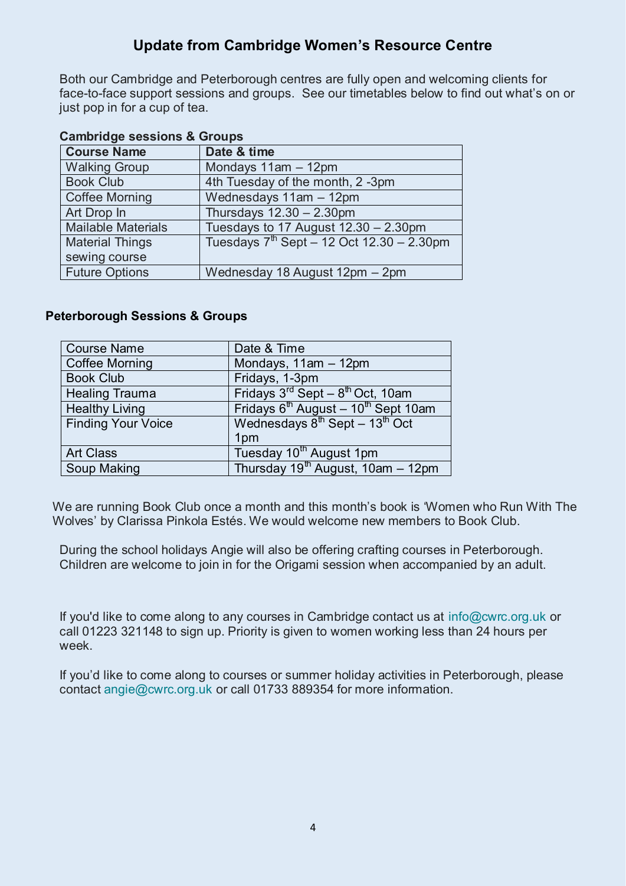### **Update from Cambridge Women's Resource Centre**

Both our Cambridge and Peterborough centres are fully open and welcoming clients for face-to-face support sessions and groups. See our timetables below to find out what's on or just pop in for a cup of tea.

| <b>Campridge sessions &amp; Groups</b> |                                                |  |
|----------------------------------------|------------------------------------------------|--|
| <b>Course Name</b>                     | Date & time                                    |  |
| <b>Walking Group</b>                   | Mondays 11am - 12pm                            |  |
| <b>Book Club</b>                       | 4th Tuesday of the month, 2 -3pm               |  |
| <b>Coffee Morning</b>                  | Wednesdays 11am - 12pm                         |  |
| Art Drop In                            | Thursdays $12.30 - 2.30$ pm                    |  |
| <b>Mailable Materials</b>              | Tuesdays to 17 August $12.30 - 2.30$ pm        |  |
| <b>Material Things</b>                 | Tuesdays $7^{th}$ Sept - 12 Oct 12.30 - 2.30pm |  |
| sewing course                          |                                                |  |
| <b>Future Options</b>                  | Wednesday 18 August 12pm - 2pm                 |  |

#### **Cambridge sessions & Groups**

#### **Peterborough Sessions & Groups**

| <b>Course Name</b>        | Date & Time                                                 |  |
|---------------------------|-------------------------------------------------------------|--|
| <b>Coffee Morning</b>     | Mondays, 11am - 12pm                                        |  |
| <b>Book Club</b>          | Fridays, 1-3pm                                              |  |
| <b>Healing Trauma</b>     | Fridays $3^{rd}$ Sept – $8^{th}$ Oct, 10am                  |  |
| <b>Healthy Living</b>     | Fridays 6 <sup>th</sup> August - 10 <sup>th</sup> Sept 10am |  |
| <b>Finding Your Voice</b> | Wednesdays $8^{th}$ Sept - 13 <sup>th</sup> Oct             |  |
|                           | 1pm                                                         |  |
| <b>Art Class</b>          | Tuesday 10 <sup>th</sup> August 1pm                         |  |
| Soup Making               | Thursday 19 <sup>th</sup> August, 10am - 12pm               |  |

We are running Book Club once a month and this month's book is 'Women who Run With The Wolves' by Clarissa Pinkola Estés. We would welcome new members to Book Club.

During the school holidays Angie will also be offering crafting courses in Peterborough. Children are welcome to join in for the Origami session when accompanied by an adult.

If you'd like to come along to any courses in Cambridge contact us at [info@cwrc.org.uk](mailto:info@cwrc.org.uk) or call 01223 321148 to sign up. Priority is given to women working less than 24 hours per week.

If you'd like to come along to courses or summer holiday activities in Peterborough, please contact [angie@cwrc.org.uk](mailto:angie@cwrc.org.uk) or call 01733 889354 for more information.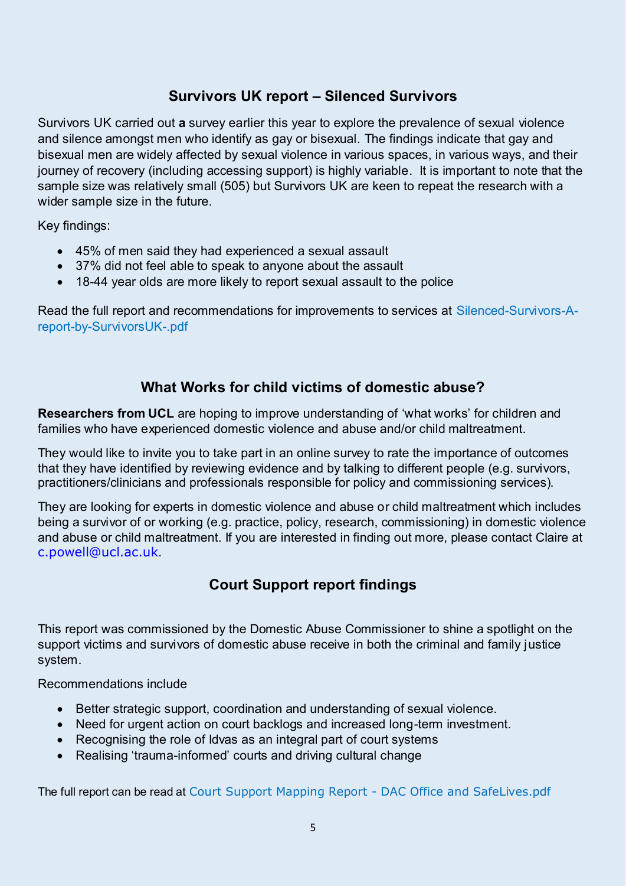# **Survivors UK report – Silenced Survivors**

Survivors UK carried out **a** survey earlier this year to explore the prevalence of sexual violence and silence amongst men who identify as gay or bisexual. The findings indicate that gay and bisexual men are widely affected by sexual violence in various spaces, in various ways, and their journey of recovery (including accessing support) is highly variable. It is important to note that the sample size was relatively small (505) but Survivors UK are keen to repeat the research with a wider sample size in the future.

Key findings:

- 45% of men said they had experienced a sexual assault
- 37% did not feel able to speak to anyone about the assault
- 18-44 year olds are more likely to report sexual assault to the police

Read the full report and recommendations for improvements to services at [Silenced-Survivors-A](https://www.survivorsuk.org/wp-content/uploads/2021/07/Silenced-Survivors-A-report-by-SurvivorsUK-.pdf)[report-by-SurvivorsUK-.pdf](https://www.survivorsuk.org/wp-content/uploads/2021/07/Silenced-Survivors-A-report-by-SurvivorsUK-.pdf) 

#### **What Works for child victims of domestic abuse?**

**Researchers from UCL** are hoping to improve understanding of 'what works' for children and families who have experienced domestic violence and abuse and/or child maltreatment.

They would like to invite you to take part in an online survey to rate the importance of outcomes that they have identified by reviewing evidence and by talking to different people (e.g. survivors, practitioners/clinicians and professionals responsible for policy and commissioning services).

They are looking for experts in domestic violence and abuse or child maltreatment which includes being a survivor of or working (e.g. practice, policy, research, commissioning) in domestic violence and abuse or child maltreatment. If you are interested in finding out more, please contact Claire at [c.powell@ucl.ac.uk](mailto:c.powell@ucl.ac.uk).

# **Court Support report findings**

This report was commissioned by the Domestic Abuse Commissioner to shine a spotlight on the support victims and survivors of domestic abuse receive in both the criminal and family justice system.

Recommendations include

- Better strategic support, coordination and understanding of sexual violence.
- Need for urgent action on court backlogs and increased long-term investment.
- Recognising the role of Idvas as an integral part of court systems
- Realising 'trauma-informed' courts and driving cultural change

The full report can be read at Court Support Mapping Report - DAC Office and SafeLives.pdf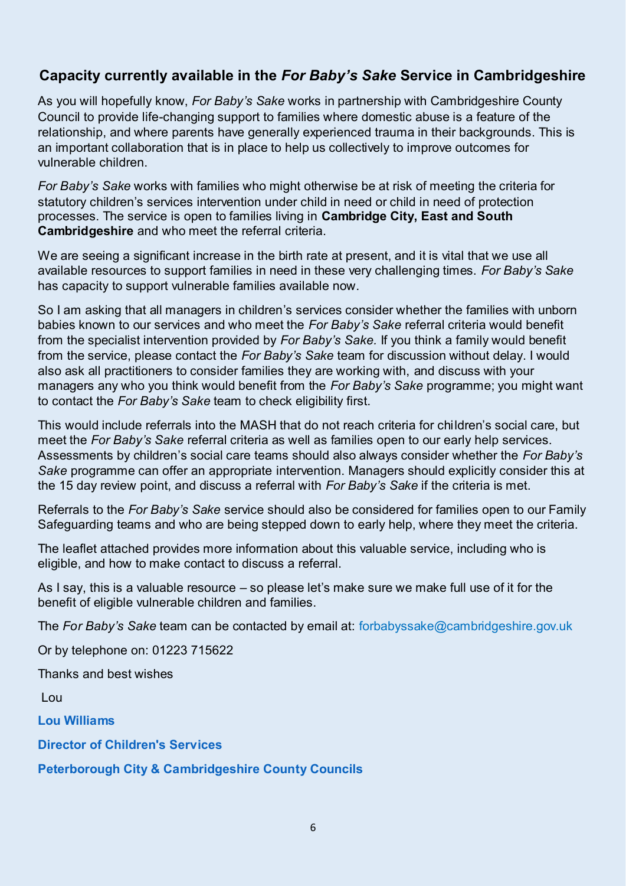# **Capacity currently available in the** *For Baby's Sake* **Service in Cambridgeshire**

As you will hopefully know, *For Baby's Sake* works in partnership with Cambridgeshire County Council to provide life-changing support to families where domestic abuse is a feature of the relationship, and where parents have generally experienced trauma in their backgrounds. This is an important collaboration that is in place to help us collectively to improve outcomes for vulnerable children.

*For Baby's Sake* works with families who might otherwise be at risk of meeting the criteria for statutory children's services intervention under child in need or child in need of protection processes. The service is open to families living in **Cambridge City, East and South Cambridgeshire** and who meet the referral criteria.

We are seeing a significant increase in the birth rate at present, and it is vital that we use all available resources to support families in need in these very challenging times. *For Baby's Sake*  has capacity to support vulnerable families available now.

So I am asking that all managers in children's services consider whether the families with unborn babies known to our services and who meet the *For Baby's Sake* referral criteria would benefit from the specialist intervention provided by *For Baby's Sake.* If you think a family would benefit from the service, please contact the *For Baby's Sake* team for discussion without delay. I would also ask all practitioners to consider families they are working with, and discuss with your managers any who you think would benefit from the *For Baby's Sake* programme; you might want to contact the *For Baby's Sake* team to check eligibility first.

This would include referrals into the MASH that do not reach criteria for children's social care, but meet the *For Baby's Sake* referral criteria as well as families open to our early help services. Assessments by children's social care teams should also always consider whether the *For Baby's Sake* programme can offer an appropriate intervention. Managers should explicitly consider this at the 15 day review point, and discuss a referral with *For Baby's Sake* if the criteria is met.

Referrals to the *For Baby's Sake* service should also be considered for families open to our Family Safeguarding teams and who are being stepped down to early help, where they meet the criteria.

The leaflet attached provides more information about this valuable service, including who is eligible, and how to make contact to discuss a referral.

As I say, this is a valuable resource – so please let's make sure we make full use of it for the benefit of eligible vulnerable children and families.

The *For Baby's Sake* team can be contacted by email at: [forbabyssake@cambridgeshire.gov.uk](mailto:forbabyssake@cambridgeshire.gov.uk) 

Or by telephone on: 01223 715622

Thanks and best wishes

Lou

**Lou Williams**

**Director of Children's Services**

**Peterborough City & Cambridgeshire County Councils**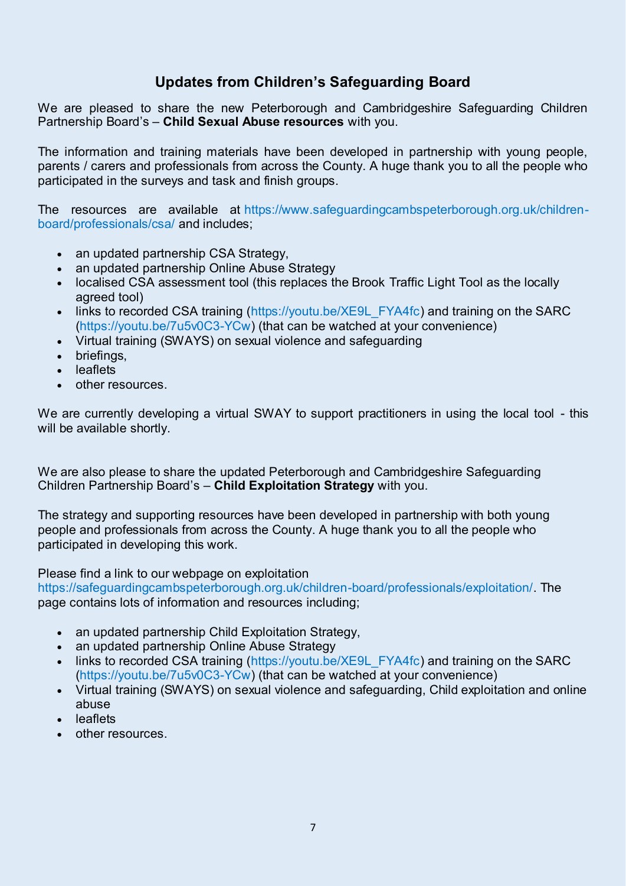### **Updates from Children's Safeguarding Board**

We are pleased to share the new Peterborough and Cambridgeshire Safeguarding Children Partnership Board's – **Child Sexual Abuse resources** with you.

The information and training materials have been developed in partnership with young people, parents / carers and professionals from across the County. A huge thank you to all the people who participated in the surveys and task and finish groups.

The resources are available at [https://www.safeguardingcambspeterborough.org.uk/children](https://www.safeguardingcambspeterborough.org.uk/children-board/professionals/csa/)[board/professionals/csa/](https://www.safeguardingcambspeterborough.org.uk/children-board/professionals/csa/) and includes;

- an updated partnership CSA Strategy,
- an updated partnership Online Abuse Strategy
- localised CSA assessment tool (this replaces the Brook Traffic Light Tool as the locally agreed tool)
- links to recorded CSA training [\(https://youtu.be/XE9L\\_FYA4fc\)](https://youtu.be/XE9L_FYA4fc) and training on the SARC [\(https://youtu.be/7u5v0C3-YCw\)](https://youtu.be/7u5v0C3-YCw) (that can be watched at your convenience)
- Virtual training (SWAYS) on sexual violence and safeguarding
- briefings,
- leaflets
- other resources.

We are currently developing a virtual SWAY to support practitioners in using the local tool - this will be available shortly.

We are also please to share the updated Peterborough and Cambridgeshire Safeguarding Children Partnership Board's – **Child Exploitation Strategy** with you.

The strategy and supporting resources have been developed in partnership with both young people and professionals from across the County. A huge thank you to all the people who participated in developing this work.

Please find a link to our webpage on exploitation

[https://safeguardingcambspeterborough.org.uk/children-board/professionals/exploitation/.](https://safeguardingcambspeterborough.org.uk/children-board/professionals/exploitation/) The page contains lots of information and resources including;

- an updated partnership Child Exploitation Strategy,
- an updated partnership Online Abuse Strategy
- links to recorded CSA training [\(https://youtu.be/XE9L\\_FYA4fc\)](https://youtu.be/XE9L_FYA4fc) and training on the SARC [\(https://youtu.be/7u5v0C3-YCw\)](https://youtu.be/7u5v0C3-YCw) (that can be watched at your convenience)
- Virtual training (SWAYS) on sexual violence and safeguarding, Child exploitation and online abuse
- leaflets
- other resources.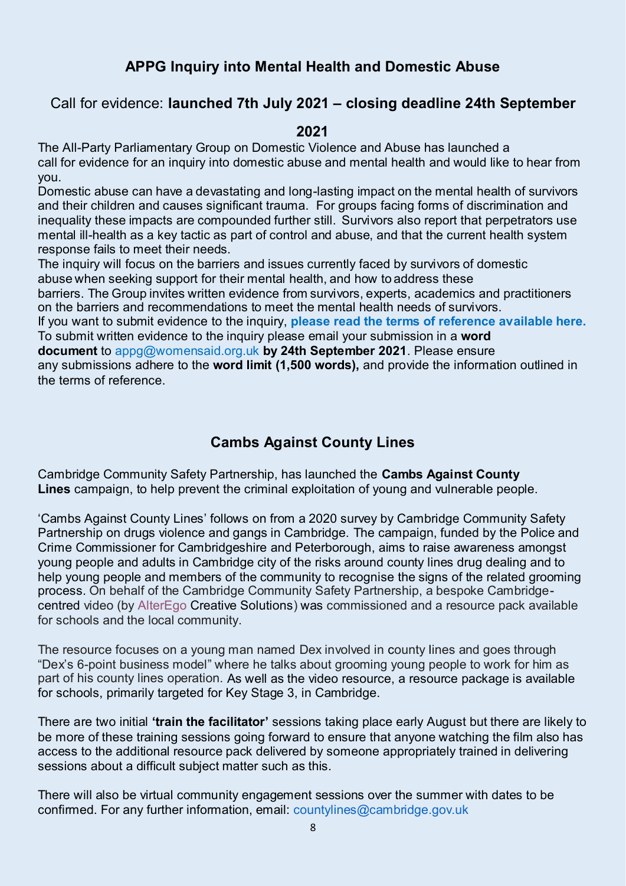### **APPG Inquiry into Mental Health and Domestic Abuse**

#### Call for evidence: **launched 7th July 2021 – closing deadline 24th September**

#### **2021**

The All-Party Parliamentary Group on Domestic Violence and Abuse has launched a call for evidence for an inquiry into domestic abuse and mental health and would like to hear from you.

Domestic abuse can have a devastating and long-lasting impact on the mental health of survivors and their children and causes significant trauma. For groups facing forms of discrimination and inequality these impacts are compounded further still.  Survivors also report that perpetrators use mental ill-health as a key tactic as part of control and abuse, and that the current health system response fails to meet their needs.

The inquiry will focus on the barriers and issues currently faced by survivors of domestic abuse when seeking support for their mental health, and how to address these

barriers. The Group invites written evidence from survivors, experts, academics and practitioners on the barriers and recommendations to meet the mental health needs of survivors. 

If you want to submit evidence to the inquiry, **[please read the terms of reference available here.](https://www.womensaid.org.uk/wp-content/uploads/2021/06/Terms-of-Reference_APPG-Inquiry_Domestic-Abuse-and-Mental-Health.pdf)** To submit written evidence to the inquiry please email your submission in a **word document** to [appg@womensaid.org.uk](mailto:appg@womensaid.org.uk) **by 24th September 2021**. Please ensure any submissions adhere to the **word limit (1,500 words),** and provide the information outlined in the [terms of reference.](https://www.womensaid.org.uk/wp-content/uploads/2021/06/Terms-of-Reference_APPG-Inquiry_Domestic-Abuse-and-Mental-Health.pdf) 

#### **Cambs Against County Lines**

Cambridge Community Safety Partnership, has launched the **Cambs Against County Lines** campaign, to help prevent the criminal exploitation of young and vulnerable people.

'Cambs Against County Lines' follows on from a 2020 survey by Cambridge Community Safety Partnership on drugs violence and gangs in Cambridge. The campaign, funded by the Police and Crime Commissioner for Cambridgeshire and Peterborough, aims to raise awareness amongst young people and adults in Cambridge city of the risks around county lines drug dealing and to help young people and members of the community to recognise the signs of the related grooming process. On behalf of the Cambridge Community Safety Partnership, a bespoke Cambridgecentred video (by [AlterEgo](https://emea01.safelinks.protection.outlook.com/?url=http%3A%2F%2Fwww.alteregocreativesolutions.co.uk%2Fcountylines%2F&data=04%7C01%7C%7C97668af9fed04c52dcec08d9503f8cb2%7C84df9e7fe9f640afb435aaaaaaaaaaaa%7C1%7C0%7C637629056132954970%7CUnknown%7CTWFpbGZsb3d8eyJWIjoiMC4wLjAwMDAiLCJQIjoiV2luMzIiLCJBTiI6Ik1haWwiLCJXVCI6Mn0%3D%7C1000&sdata=TUM8WzmoA%2Fc15YiW%2FvjDaL2H2oo4NW5vbtMNsJLp2Dk%3D&reserved=0) Creative Solutions) was commissioned and a resource pack available for schools and the local community.

The resource focuses on a young man named Dex involved in county lines and goes through "Dex's 6-point business model" where he talks about grooming young people to work for him as part of his county lines operation. As well as the video resource, a resource package is available for schools, primarily targeted for Key Stage 3, in Cambridge.

There are two initial **'train the facilitator'** sessions taking place early August but there are likely to be more of these training sessions going forward to ensure that anyone watching the film also has access to the additional resource pack delivered by someone appropriately trained in delivering sessions about a difficult subject matter such as this.

There will also be virtual community engagement sessions over the summer with dates to be confirmed. For any further information, email: [countylines@cambridge.gov.uk](http://countylines@cambridge.gov.uk/)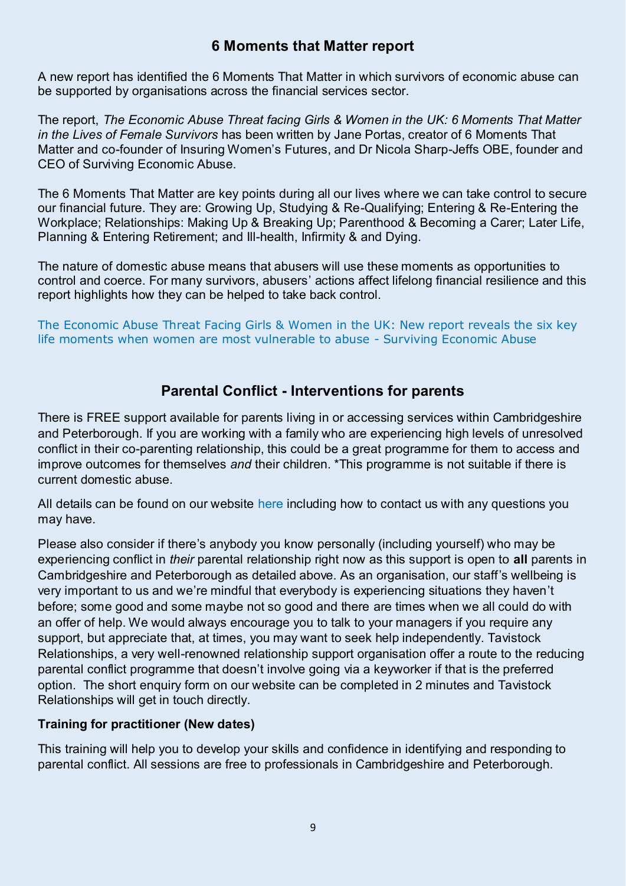#### **6 Moments that Matter report**

A new report has identified the 6 Moments That Matter in which survivors of economic abuse can be supported by organisations across the financial services sector.

The report, *The Economic Abuse Threat facing Girls & Women in the UK: 6 Moments That Matter in the Lives of Female Survivors* has been written by Jane Portas, creator of 6 Moments That Matter and co-founder of Insuring Women's Futures, and Dr Nicola Sharp-Jeffs OBE, founder and CEO of Surviving Economic Abuse.

The 6 Moments That Matter are key points during all our lives where we can take control to secure our financial future. They are: Growing Up, Studying & Re-Qualifying; Entering & Re-Entering the Workplace; Relationships: Making Up & Breaking Up; Parenthood & Becoming a Carer; Later Life, Planning & Entering Retirement; and Ill-health, Infirmity & and Dying.

The nature of domestic abuse means that abusers will use these moments as opportunities to control and coerce. For many survivors, abusers' actions affect lifelong financial resilience and this report highlights how they can be helped to take back control.

[The Economic Abuse Threat Facing Girls & Women in the UK: New report reveals the six key](https://survivingeconomicabuse.org/the-economic-abuse-threat-facing-girls-women-in-the-uk-new-report-reveals-the-six-key-life-moments-when-women-are-most-vulnerable-to-abuse/)  [life moments when women are most vulnerable to abuse - Surviving Economic Abuse](https://survivingeconomicabuse.org/the-economic-abuse-threat-facing-girls-women-in-the-uk-new-report-reveals-the-six-key-life-moments-when-women-are-most-vulnerable-to-abuse/)

### **Parental Conflict - Interventions for parents**

There is FREE support available for parents living in or accessing services within Cambridgeshire and Peterborough. If you are working with a family who are experiencing high levels of unresolved conflict in their co-parenting relationship, this could be a great programme for them to access and improve outcomes for themselves *and* their children. \*This programme is not suitable if there is current domestic abuse.

All details can be found on our website [here](https://www.parentingtogethersupportprogramme.org.uk/) including how to contact us with any questions you may have.

Please also consider if there's anybody you know personally (including yourself) who may be experiencing conflict in *their* parental relationship right now as this support is open to **all** parents in Cambridgeshire and Peterborough as detailed above. As an organisation, our staff's wellbeing is very important to us and we're mindful that everybody is experiencing situations they haven't before; some good and some maybe not so good and there are times when we all could do with an offer of help. We would always encourage you to talk to your managers if you require any support, but appreciate that, at times, you may want to seek help independently. Tavistock Relationships, a very well-renowned relationship support organisation offer a route to the reducing parental conflict programme that doesn't involve going via a keyworker if that is the preferred option. The short enquiry form on our website can be completed in 2 minutes and Tavistock Relationships will get in touch directly.

#### **Training for practitioner (New dates)**

This training will help you to develop your skills and confidence in identifying and responding to parental conflict. All sessions are free to professionals in Cambridgeshire and Peterborough.